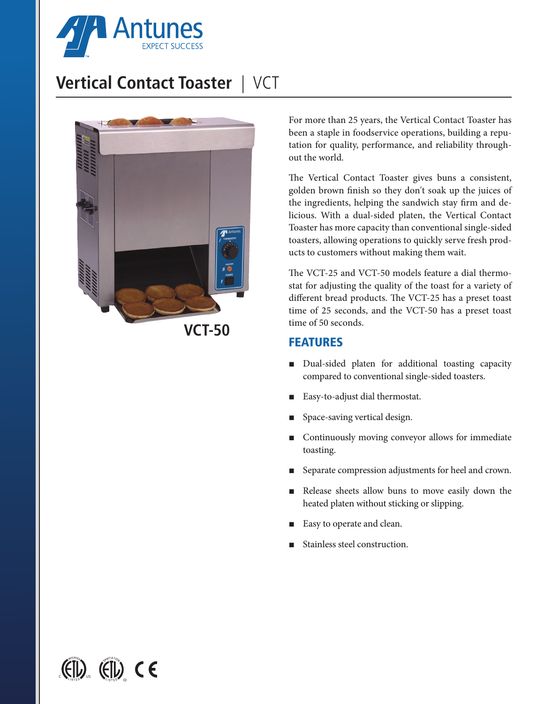

# **Vertical Contact Toaster** | VCT



For more than 25 years, the Vertical Contact Toaster has been a staple in foodservice operations, building a reputation for quality, performance, and reliability throughout the world.

The Vertical Contact Toaster gives buns a consistent, golden brown finish so they don't soak up the juices of the ingredients, helping the sandwich stay firm and delicious. With a dual-sided platen, the Vertical Contact Toaster has more capacity than conventional single-sided toasters, allowing operations to quickly serve fresh products to customers without making them wait.

The VCT-25 and VCT-50 models feature a dial thermostat for adjusting the quality of the toast for a variety of different bread products. The VCT-25 has a preset toast time of 25 seconds, and the VCT-50 has a preset toast time of 50 seconds.

### FEATURES

- Dual-sided platen for additional toasting capacity compared to conventional single-sided toasters.
- Easy-to-adjust dial thermostat.
- Space-saving vertical design.
- Continuously moving conveyor allows for immediate toasting.
- Separate compression adjustments for heel and crown.
- Release sheets allow buns to move easily down the heated platen without sticking or slipping.
- Easy to operate and clean.
- Stainless steel construction.